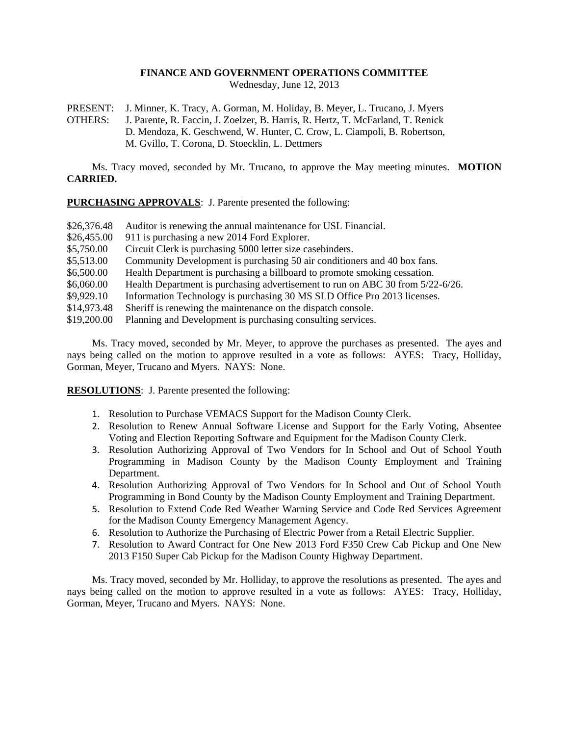## **FINANCE AND GOVERNMENT OPERATIONS COMMITTEE**

Wednesday, June 12, 2013

PRESENT: J. Minner, K. Tracy, A. Gorman, M. Holiday, B. Meyer, L. Trucano, J. Myers OTHERS: J. Parente, R. Faccin, J. Zoelzer, B. Harris, R. Hertz, T. McFarland, T. Renick D. Mendoza, K. Geschwend, W. Hunter, C. Crow, L. Ciampoli, B. Robertson, M. Gvillo, T. Corona, D. Stoecklin, L. Dettmers

Ms. Tracy moved, seconded by Mr. Trucano, to approve the May meeting minutes. **MOTION CARRIED.**

**PURCHASING APPROVALS**: J. Parente presented the following:

| \$26,376.48 | Auditor is renewing the annual maintenance for USL Financial.                  |
|-------------|--------------------------------------------------------------------------------|
| \$26,455.00 | 911 is purchasing a new 2014 Ford Explorer.                                    |
| \$5,750.00  | Circuit Clerk is purchasing 5000 letter size casebinders.                      |
| \$5,513.00  | Community Development is purchasing 50 air conditioners and 40 box fans.       |
| \$6,500.00  | Health Department is purchasing a billboard to promote smoking cessation.      |
| \$6,060.00  | Health Department is purchasing advertisement to run on ABC 30 from 5/22-6/26. |
| \$9,929.10  | Information Technology is purchasing 30 MS SLD Office Pro 2013 licenses.       |
| \$14,973.48 | Sheriff is renewing the maintenance on the dispatch console.                   |
| \$19,200.00 | Planning and Development is purchasing consulting services.                    |

Ms. Tracy moved, seconded by Mr. Meyer, to approve the purchases as presented. The ayes and nays being called on the motion to approve resulted in a vote as follows: AYES: Tracy, Holliday, Gorman, Meyer, Trucano and Myers. NAYS: None.

**RESOLUTIONS**: J. Parente presented the following:

- 1. Resolution to Purchase VEMACS Support for the Madison County Clerk.
- 2. Resolution to Renew Annual Software License and Support for the Early Voting, Absentee Voting and Election Reporting Software and Equipment for the Madison County Clerk.
- 3. Resolution Authorizing Approval of Two Vendors for In School and Out of School Youth Programming in Madison County by the Madison County Employment and Training Department.
- 4. Resolution Authorizing Approval of Two Vendors for In School and Out of School Youth Programming in Bond County by the Madison County Employment and Training Department.
- 5. Resolution to Extend Code Red Weather Warning Service and Code Red Services Agreement for the Madison County Emergency Management Agency.
- 6. Resolution to Authorize the Purchasing of Electric Power from a Retail Electric Supplier.
- 7. Resolution to Award Contract for One New 2013 Ford F350 Crew Cab Pickup and One New 2013 F150 Super Cab Pickup for the Madison County Highway Department.

Ms. Tracy moved, seconded by Mr. Holliday, to approve the resolutions as presented. The ayes and nays being called on the motion to approve resulted in a vote as follows: AYES: Tracy, Holliday, Gorman, Meyer, Trucano and Myers. NAYS: None.